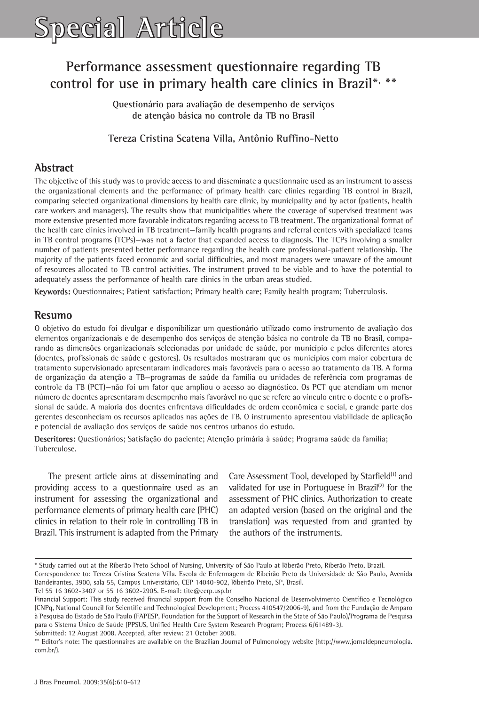# **Performance assessment questionnaire regarding TB control for use in primary health care clinics in Brazil\*, \*\***

**Questionário para avaliação de desempenho de serviços de atenção básica no controle da TB no Brasil**

#### **Tereza Cristina Scatena Villa, Antônio Ruffino-Netto**

## **Abstract**

The objective of this study was to provide access to and disseminate a questionnaire used as an instrument to assess the organizational elements and the performance of primary health care clinics regarding TB control in Brazil, comparing selected organizational dimensions by health care clinic, by municipality and by actor (patients, health care workers and managers). The results show that municipalities where the coverage of supervised treatment was more extensive presented more favorable indicators regarding access to TB treatment. The organizational format of the health care clinics involved in TB treatment—family health programs and referral centers with specialized teams in TB control programs (TCPs)—was not a factor that expanded access to diagnosis. The TCPs involving a smaller number of patients presented better performance regarding the health care professional-patient relationship. The majority of the patients faced economic and social difficulties, and most managers were unaware of the amount of resources allocated to TB control activities. The instrument proved to be viable and to have the potential to adequately assess the performance of health care clinics in the urban areas studied.

**Keywords:** Questionnaires; Patient satisfaction; Primary health care; Family health program; Tuberculosis.

### **Resumo**

O objetivo do estudo foi divulgar e disponibilizar um questionário utilizado como instrumento de avaliação dos elementos organizacionais e de desempenho dos serviços de atenção básica no controle da TB no Brasil, comparando as dimensões organizacionais selecionadas por unidade de saúde, por município e pelos diferentes atores (doentes, profissionais de saúde e gestores). Os resultados mostraram que os municípios com maior cobertura de tratamento supervisionado apresentaram indicadores mais favoráveis para o acesso ao tratamento da TB. A forma de organização da atenção a TB—programas de saúde da família ou unidades de referência com programas de controle da TB (PCT)—não foi um fator que ampliou o acesso ao diagnóstico. Os PCT que atendiam um menor número de doentes apresentaram desempenho mais favorável no que se refere ao vínculo entre o doente e o profissional de saúde. A maioria dos doentes enfrentava dificuldades de ordem econômica e social, e grande parte dos gerentes desconheciam os recursos aplicados nas ações de TB. O instrumento apresentou viabilidade de aplicação e potencial de avaliação dos serviços de saúde nos centros urbanos do estudo.

**Descritores:** Questionários; Satisfação do paciente; Atenção primária à saúde; Programa saúde da família; Tuberculose.

The present article aims at disseminating and providing access to a questionnaire used as an instrument for assessing the organizational and performance elements of primary health care (PHC) clinics in relation to their role in controlling TB in Brazil. This instrument is adapted from the Primary Care Assessment Tool, developed by Starfield<sup>(1)</sup> and validated for use in Portuguese in Brazil $^{(2)}$  for the assessment of PHC clinics. Authorization to create an adapted version (based on the original and the translation) was requested from and granted by the authors of the instruments.

<sup>\*</sup> Study carried out at the Riberão Preto School of Nursing, University of São Paulo at Riberão Preto, Riberão Preto, Brazil.

Correspondence to: Tereza Cristina Scatena Villa. Escola de Enfermagem de Ribeirão Preto da Universidade de São Paulo, Avenida Bandeirantes, 3900, sala 55, Campus Universitário, CEP 14040-902, Ribeirão Preto, SP, Brasil.

Tel 55 16 3602-3407 or 55 16 3602-2905. E-mail: tite@eerp.usp.br

Financial Support: This study received financial support from the Conselho Nacional de Desenvolvimento Científico e Tecnológico (CNPq, National Council for Scientific and Technological Development; Process 410547/2006-9), and from the Fundação de Amparo à Pesquisa do Estado de São Paulo (FAPESP, Foundation for the Support of Research in the State of São Paulo)/Programa de Pesquisa para o Sistema Único de Saúde (PPSUS, Unified Health Care System Research Program; Process 6/61489-3).

Submitted: 12 August 2008. Accepted, after review: 21 October 2008.

<sup>\*\*</sup> Editor's note: The questionnaires are available on the Brazilian Journal of Pulmonology website (http://www.jornaldepneumologia. com.br/).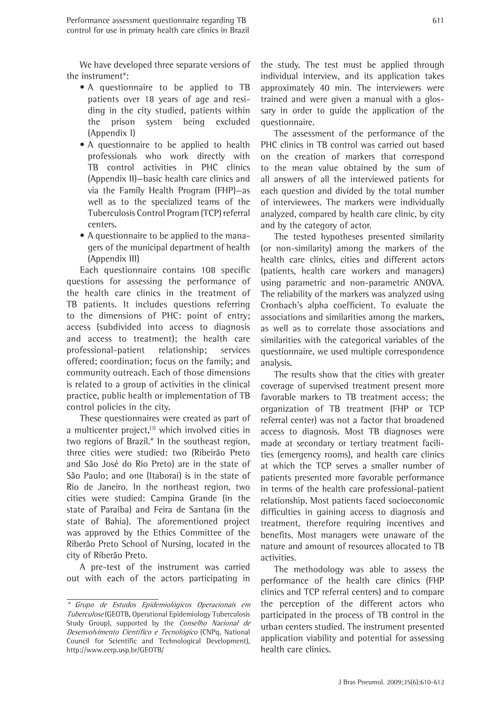611

We have developed three separate versions of the instrument\*:

- A questionnaire to be applied to TB patients over 18 years of age and residing in the city studied, patients within the prison system being excluded (Appendix I)
- A questionnaire to be applied to health professionals who work directly with TB control activities in PHC clinics (Appendix II)—basic health care clinics and via the Family Health Program (FHP)—as well as to the specialized teams of the Tuberculosis Control Program (TCP) referral centers.
- A questionnaire to be applied to the managers of the municipal department of health (Appendix III)

Each questionnaire contains 108 specific questions for assessing the performance of the health care clinics in the treatment of TB patients. It includes questions referring to the dimensions of PHC: point of entry; access (subdivided into access to diagnosis and access to treatment); the health care professional-patient relationship; services offered; coordination; focus on the family; and community outreach. Each of those dimensions is related to a group of activities in the clinical practice, public health or implementation of TB control policies in the city.

These questionnaires were created as part of a multicenter project, $^{(3)}$  which involved cities in two regions of Brazil.\* In the southeast region, three cities were studied: two (Ribeirão Preto and São José do Rio Preto) are in the state of São Paulo; and one (Itaboraí) is in the state of Rio de Janeiro. In the northeast region, two cities were studied: Campina Grande (in the state of Paraíba) and Feira de Santana (in the state of Bahia). The aforementioned project was approved by the Ethics Committee of the Riberão Preto School of Nursing, located in the city of Riberão Preto.

A pre-test of the instrument was carried out with each of the actors participating in

the study. The test must be applied through individual interview, and its application takes approximately 40 min. The interviewers were trained and were given a manual with a glossary in order to guide the application of the questionnaire.

The assessment of the performance of the PHC clinics in TB control was carried out based on the creation of markers that correspond to the mean value obtained by the sum of all answers of all the interviewed patients for each question and divided by the total number of interviewees. The markers were individually analyzed, compared by health care clinic, by city and by the category of actor.

The tested hypotheses presented similarity (or non-similarity) among the markers of the health care clinics, cities and different actors (patients, health care workers and managers) using parametric and non-parametric ANOVA. The reliability of the markers was analyzed using Cronbach's alpha coefficient. To evaluate the associations and similarities among the markers, as well as to correlate those associations and similarities with the categorical variables of the questionnaire, we used multiple correspondence analysis.

The results show that the cities with greater coverage of supervised treatment present more favorable markers to TB treatment access; the organization of TB treatment (FHP or TCP referral center) was not a factor that broadened access to diagnosis. Most TB diagnoses were made at secondary or tertiary treatment facilities (emergency rooms), and health care clinics at which the TCP serves a smaller number of patients presented more favorable performance in terms of the health care professional-patient relationship. Most patients faced socioeconomic difficulties in gaining access to diagnosis and treatment, therefore requiring incentives and benefits. Most managers were unaware of the nature and amount of resources allocated to TB activities.

The methodology was able to assess the performance of the health care clinics (FHP clinics and TCP referral centers) and to compare the perception of the different actors who participated in the process of TB control in the urban centers studied. The instrument presented application viability and potential for assessing health care clinics.

<sup>\*</sup> Grupo de Estudos Epidemiológicos Operacionais em Tuberculose (GEOTB, Operational Epidemiology Tuberculosis Study Group), supported by the Conselho Nacional de Desenvolvimento Científico e Tecnológico (CNPq, National Council for Scientific and Technological Development), http://www.eerp.usp.br/GEOTB/